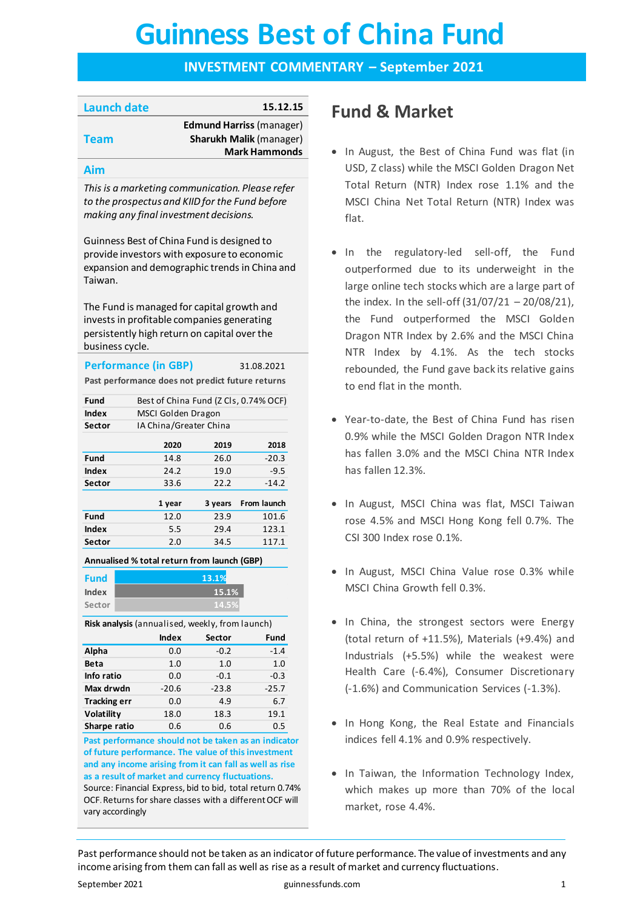# **Guinness Best of China Fund Guinness Best of China Fund**

# **INVESTMENT COMMENTARY – September 2021**

| Launch date | 15.12.15                        |
|-------------|---------------------------------|
|             | <b>Edmund Harriss (manager)</b> |
| <b>Team</b> | <b>Sharukh Malik (manager)</b>  |
|             | <b>Mark Hammonds</b>            |
|             |                                 |

# **Aim**

*This is a marketing communication. Please refer to the prospectus and KIID for the Fund before making any final investment decisions.*

Guinness Best of China Fund is designed to provide investors with exposure to economic expansion and demographic trends in China and Taiwan.

The Fund is managed for capital growth and invests in profitable companies generating persistently high return on capital over the business cycle.

# **Performance (in GBP)** 31.08.2021

**Past performance does not predict future returns**

| Fund          |      | Best of China Fund (Z Cls, 0.74% OCF) |         |  |  |
|---------------|------|---------------------------------------|---------|--|--|
| Index         |      | MSCI Golden Dragon                    |         |  |  |
| Sector        |      | IA China/Greater China                |         |  |  |
|               | 2020 | 2019                                  | 2018    |  |  |
| Fund          | 14.8 | 26.0                                  | $-20.3$ |  |  |
| Index         | 24.2 | 19.0                                  | $-9.5$  |  |  |
| <b>Sector</b> | 33.6 | 22.2                                  | $-14.2$ |  |  |
|               |      |                                       |         |  |  |

|             | 1 year |      | 3 years From launch |
|-------------|--------|------|---------------------|
| <b>Fund</b> | 12.0   | 23.9 | 101.6               |
| Index       | 5.5    | 29.4 | 123.1               |
| Sector      | 2.0    | 34.5 | 117.1               |
|             |        |      |                     |

**Annualised % total return from launch (GBP)**

| <b>Fund</b> | 13.1% |
|-------------|-------|
| Index       | 15.1% |
| Sector      | 14.5% |

**Risk analysis** (annualised, weekly, from launch)

|                     | <b>Index</b> | <b>Sector</b> | Fund    |
|---------------------|--------------|---------------|---------|
| Alpha               | 0.0          | $-0.2$        | $-1.4$  |
| <b>Beta</b>         | 1.0          | 1.0           | 1.0     |
| Info ratio          | 0.0          | $-0.1$        | $-0.3$  |
| Max drwdn           | $-20.6$      | $-23.8$       | $-25.7$ |
| <b>Tracking err</b> | 0.0          | 4.9           | 6.7     |
| Volatility          | 18.0         | 18.3          | 19.1    |
| Sharpe ratio        | 0.6          | 0.6           | 0.5     |

**Past performance should not be taken as an indicator of future performance. The value of this investment and any income arising from it can fall as well as rise as a result of market and currency fluctuations.**  Source: Financial Express, bid to bid, total return 0.74% OCF. Returns for share classes with a different OCF will vary accordingly

# **Fund & Market**

- In August, the Best of China Fund was flat (in USD, Z class) while the MSCI Golden Dragon Net Total Return (NTR) Index rose 1.1% and the MSCI China Net Total Return (NTR) Index was flat.
- In the regulatory-led sell-off, the Fund outperformed due to its underweight in the large online tech stocks which are a large part of the index. In the sell-off (31/07/21 – 20/08/21), the Fund outperformed the MSCI Golden Dragon NTR Index by 2.6% and the MSCI China NTR Index by 4.1%. As the tech stocks rebounded, the Fund gave back its relative gains to end flat in the month.
- Year-to-date, the Best of China Fund has risen 0.9% while the MSCI Golden Dragon NTR Index has fallen 3.0% and the MSCI China NTR Index has fallen 12.3%.
- In August, MSCI China was flat, MSCI Taiwan rose 4.5% and MSCI Hong Kong fell 0.7%. The CSI 300 Index rose 0.1%.
- In August, MSCI China Value rose 0.3% while MSCI China Growth fell 0.3%.
- In China, the strongest sectors were Energy (total return of +11.5%), Materials (+9.4%) and Industrials (+5.5%) while the weakest were Health Care (-6.4%), Consumer Discretionary (-1.6%) and Communication Services (-1.3%).
- In Hong Kong, the Real Estate and Financials indices fell 4.1% and 0.9% respectively.
- In Taiwan, the Information Technology Index, which makes up more than 70% of the local market, rose 4.4%.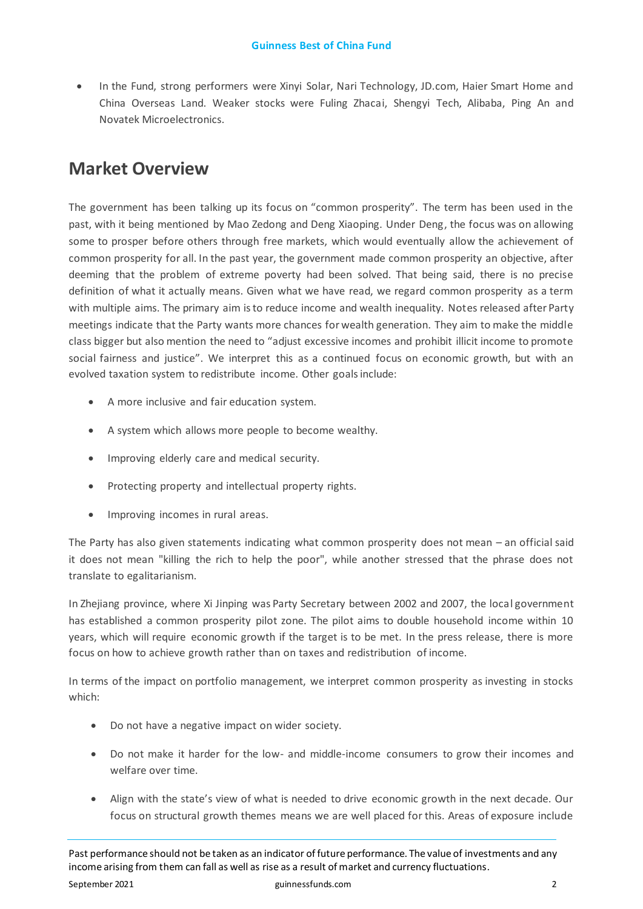• In the Fund, strong performers were Xinyi Solar, Nari Technology, JD.com, Haier Smart Home and China Overseas Land. Weaker stocks were Fuling Zhacai, Shengyi Tech, Alibaba, Ping An and Novatek Microelectronics.

# **Market Overview**

The government has been talking up its focus on "common prosperity". The term has been used in the past, with it being mentioned by Mao Zedong and Deng Xiaoping. Under Deng, the focus was on allowing some to prosper before others through free markets, which would eventually allow the achievement of common prosperity for all. In the past year, the government made common prosperity an objective, after deeming that the problem of extreme poverty had been solved. That being said, there is no precise definition of what it actually means. Given what we have read, we regard common prosperity as a term with multiple aims. The primary aim is to reduce income and wealth inequality. Notes released after Party meetings indicate that the Party wants more chances for wealth generation. They aim to make the middle class bigger but also mention the need to "adjust excessive incomes and prohibit illicit income to promote social fairness and justice". We interpret this as a continued focus on economic growth, but with an evolved taxation system to redistribute income. Other goals include:

- A more inclusive and fair education system.
- A system which allows more people to become wealthy.
- Improving elderly care and medical security.
- Protecting property and intellectual property rights.
- Improving incomes in rural areas.

The Party has also given statements indicating what common prosperity does not mean – an official said it does not mean "killing the rich to help the poor", while another stressed that the phrase does not translate to egalitarianism.

In Zhejiang province, where Xi Jinping was Party Secretary between 2002 and 2007, the local government has established a common prosperity pilot zone. The pilot aims to double household income within 10 years, which will require economic growth if the target is to be met. In the press release, there is more focus on how to achieve growth rather than on taxes and redistribution of income.

In terms of the impact on portfolio management, we interpret common prosperity as investing in stocks which:

- Do not have a negative impact on wider society.
- Do not make it harder for the low- and middle-income consumers to grow their incomes and welfare over time.
- Align with the state's view of what is needed to drive economic growth in the next decade. Our focus on structural growth themes means we are well placed for this. Areas of exposure include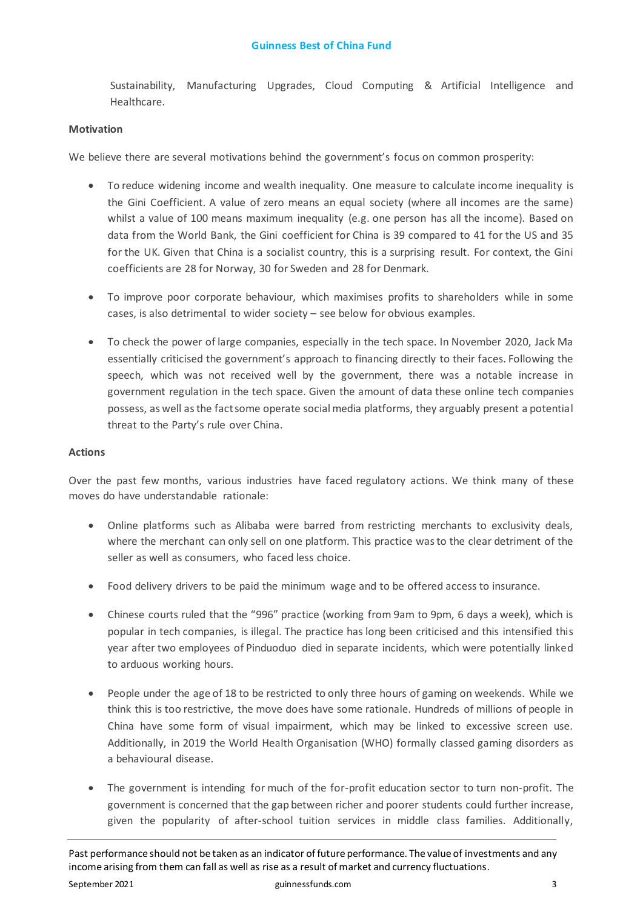Sustainability, Manufacturing Upgrades, Cloud Computing & Artificial Intelligence and Healthcare.

# **Motivation**

We believe there are several motivations behind the government's focus on common prosperity:

- To reduce widening income and wealth inequality. One measure to calculate income inequality is the Gini Coefficient. A value of zero means an equal society (where all incomes are the same) whilst a value of 100 means maximum inequality (e.g. one person has all the income). Based on data from the World Bank, the Gini coefficient for China is 39 compared to 41 for the US and 35 for the UK. Given that China is a socialist country, this is a surprising result. For context, the Gini coefficients are 28 for Norway, 30 for Sweden and 28 for Denmark.
- To improve poor corporate behaviour, which maximises profits to shareholders while in some cases, is also detrimental to wider society – see below for obvious examples.
- To check the power of large companies, especially in the tech space. In November 2020, Jack Ma essentially criticised the government's approach to financing directly to their faces. Following the speech, which was not received well by the government, there was a notable increase in government regulation in the tech space. Given the amount of data these online tech companies possess, as well as the fact some operate social media platforms, they arguably present a potential threat to the Party's rule over China.

# **Actions**

Over the past few months, various industries have faced regulatory actions. We think many of these moves do have understandable rationale:

- Online platforms such as Alibaba were barred from restricting merchants to exclusivity deals, where the merchant can only sell on one platform. This practice was to the clear detriment of the seller as well as consumers, who faced less choice.
- Food delivery drivers to be paid the minimum wage and to be offered access to insurance.
- Chinese courts ruled that the "996" practice (working from 9am to 9pm, 6 days a week), which is popular in tech companies, is illegal. The practice has long been criticised and this intensified this year after two employees of Pinduoduo died in separate incidents, which were potentially linked to arduous working hours.
- People under the age of 18 to be restricted to only three hours of gaming on weekends. While we think this is too restrictive, the move does have some rationale. Hundreds of millions of people in China have some form of visual impairment, which may be linked to excessive screen use. Additionally, in 2019 the World Health Organisation (WHO) formally classed gaming disorders as a behavioural disease.
- The government is intending for much of the for-profit education sector to turn non-profit. The government is concerned that the gap between richer and poorer students could further increase, given the popularity of after-school tuition services in middle class families. Additionally,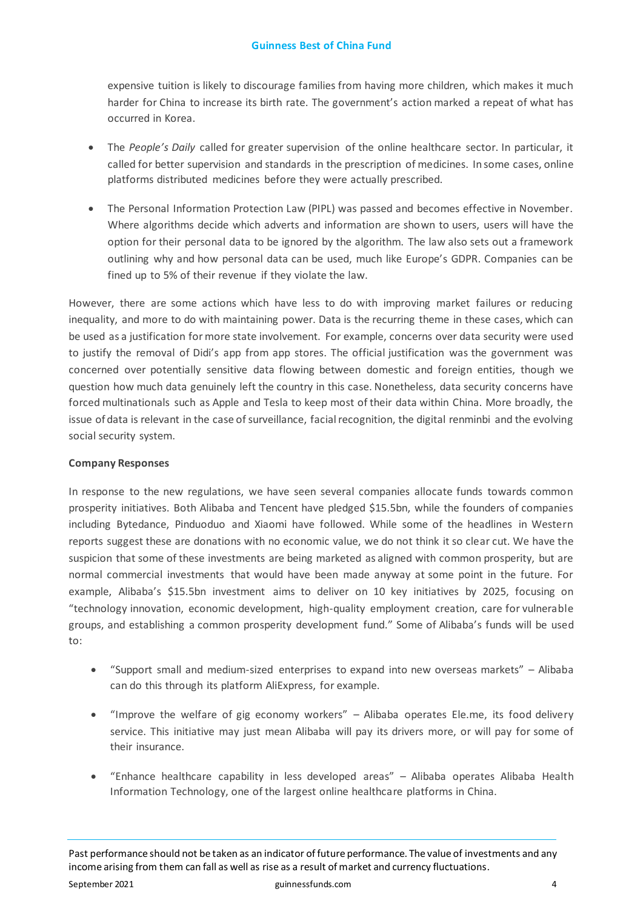# **Guinness Best of China Fund**

expensive tuition is likely to discourage families from having more children, which makes it much harder for China to increase its birth rate. The government's action marked a repeat of what has occurred in Korea.

- The *People's Daily* called for greater supervision of the online healthcare sector. In particular, it called for better supervision and standards in the prescription of medicines. In some cases, online platforms distributed medicines before they were actually prescribed.
- The Personal Information Protection Law (PIPL) was passed and becomes effective in November. Where algorithms decide which adverts and information are shown to users, users will have the option for their personal data to be ignored by the algorithm. The law also sets out a framework outlining why and how personal data can be used, much like Europe's GDPR. Companies can be fined up to 5% of their revenue if they violate the law.

However, there are some actions which have less to do with improving market failures or reducing inequality, and more to do with maintaining power. Data is the recurring theme in these cases, which can be used as a justification for more state involvement. For example, concerns over data security were used to justify the removal of Didi's app from app stores. The official justification was the government was concerned over potentially sensitive data flowing between domestic and foreign entities, though we question how much data genuinely left the country in this case. Nonetheless, data security concerns have forced multinationals such as Apple and Tesla to keep most of their data within China. More broadly, the issue of data is relevant in the case of surveillance, facial recognition, the digital renminbi and the evolving social security system.

# **Company Responses**

In response to the new regulations, we have seen several companies allocate funds towards common prosperity initiatives. Both Alibaba and Tencent have pledged \$15.5bn, while the founders of companies including Bytedance, Pinduoduo and Xiaomi have followed. While some of the headlines in Western reports suggest these are donations with no economic value, we do not think it so clear cut. We have the suspicion that some of these investments are being marketed as aligned with common prosperity, but are normal commercial investments that would have been made anyway at some point in the future. For example, Alibaba's \$15.5bn investment aims to deliver on 10 key initiatives by 2025, focusing on "technology innovation, economic development, high-quality employment creation, care for vulnerable groups, and establishing a common prosperity development fund." Some of Alibaba's funds will be used to:

- "Support small and medium-sized enterprises to expand into new overseas markets" Alibaba can do this through its platform AliExpress, for example.
- "Improve the welfare of gig economy workers" Alibaba operates Ele.me, its food delivery service. This initiative may just mean Alibaba will pay its drivers more, or will pay for some of their insurance.
- "Enhance healthcare capability in less developed areas" Alibaba operates Alibaba Health Information Technology, one of the largest online healthcare platforms in China.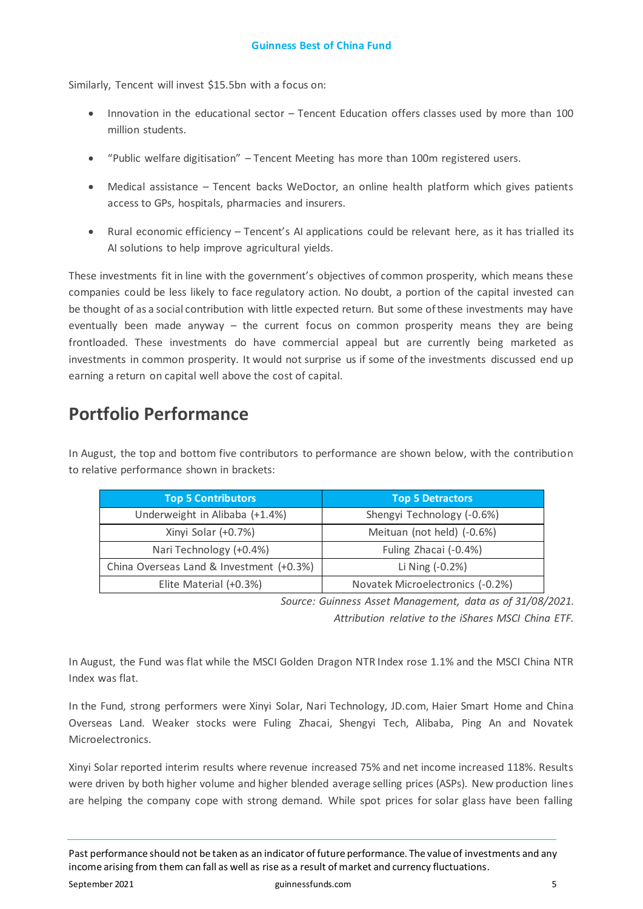Similarly, Tencent will invest \$15.5bn with a focus on:

- Innovation in the educational sector Tencent Education offers classes used by more than 100 million students.
- "Public welfare digitisation" Tencent Meeting has more than 100m registered users.
- Medical assistance Tencent backs WeDoctor, an online health platform which gives patients access to GPs, hospitals, pharmacies and insurers.
- Rural economic efficiency Tencent's AI applications could be relevant here, as it has trialled its AI solutions to help improve agricultural yields.

These investments fit in line with the government's objectives of common prosperity, which means these companies could be less likely to face regulatory action. No doubt, a portion of the capital invested can be thought of as a social contribution with little expected return. But some of these investments may have eventually been made anyway – the current focus on common prosperity means they are being frontloaded. These investments do have commercial appeal but are currently being marketed as investments in common prosperity. It would not surprise us if some of the investments discussed end up earning a return on capital well above the cost of capital.

# **Portfolio Performance**

In August, the top and bottom five contributors to performance are shown below, with the contribution to relative performance shown in brackets:

| <b>Top 5 Contributors</b>                | <b>Top 5 Detractors</b>          |  |  |
|------------------------------------------|----------------------------------|--|--|
| Underweight in Alibaba (+1.4%)           | Shengyi Technology (-0.6%)       |  |  |
| Xinyi Solar (+0.7%)                      | Meituan (not held) (-0.6%)       |  |  |
| Nari Technology (+0.4%)                  | Fuling Zhacai (-0.4%)            |  |  |
| China Overseas Land & Investment (+0.3%) | Li Ning (-0.2%)                  |  |  |
| Elite Material (+0.3%)                   | Novatek Microelectronics (-0.2%) |  |  |

*Source: Guinness Asset Management, data as of 31/08/2021.*

*Attribution relative to the iShares MSCI China ETF.*

In August, the Fund was flat while the MSCI Golden Dragon NTR Index rose 1.1% and the MSCI China NTR Index was flat.

In the Fund, strong performers were Xinyi Solar, Nari Technology, JD.com, Haier Smart Home and China Overseas Land. Weaker stocks were Fuling Zhacai, Shengyi Tech, Alibaba, Ping An and Novatek Microelectronics.

Xinyi Solar reported interim results where revenue increased 75% and net income increased 118%. Results were driven by both higher volume and higher blended average selling prices (ASPs). New production lines are helping the company cope with strong demand. While spot prices for solar glass have been falling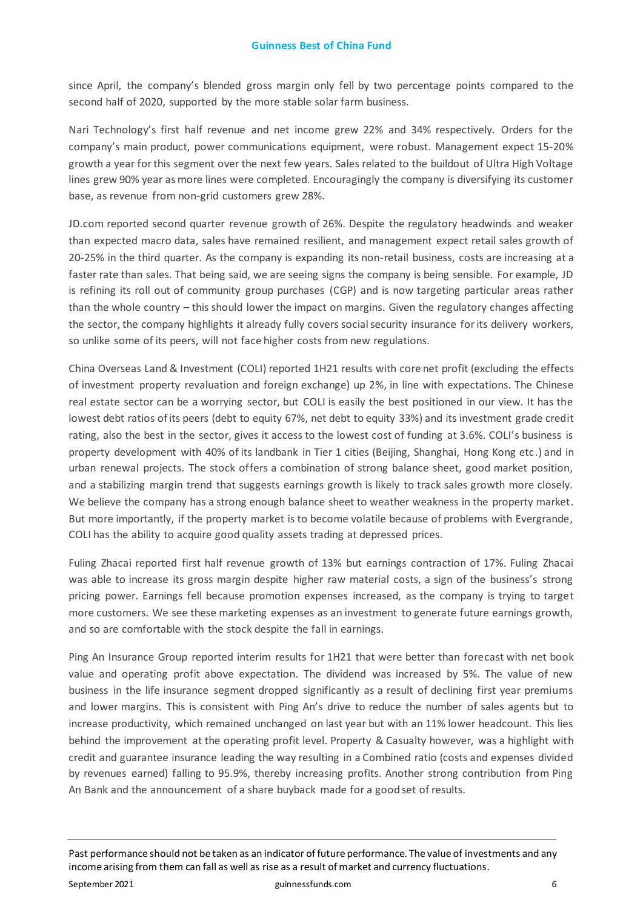since April, the company's blended gross margin only fell by two percentage points compared to the second half of 2020, supported by the more stable solar farm business.

Nari Technology's first half revenue and net income grew 22% and 34% respectively. Orders for the company's main product, power communications equipment, were robust. Management expect 15-20% growth a year for this segment over the next few years. Sales related to the buildout of Ultra High Voltage lines grew 90% year as more lines were completed. Encouragingly the company is diversifying its customer base, as revenue from non-grid customers grew 28%.

JD.com reported second quarter revenue growth of 26%. Despite the regulatory headwinds and weaker than expected macro data, sales have remained resilient, and management expect retail sales growth of 20-25% in the third quarter. As the company is expanding its non-retail business, costs are increasing at a faster rate than sales. That being said, we are seeing signs the company is being sensible. For example, JD is refining its roll out of community group purchases (CGP) and is now targeting particular areas rather than the whole country – this should lower the impact on margins. Given the regulatory changes affecting the sector, the company highlights it already fully covers social security insurance for its delivery workers, so unlike some of its peers, will not face higher costs from new regulations.

China Overseas Land & Investment (COLI) reported 1H21 results with core net profit (excluding the effects of investment property revaluation and foreign exchange) up 2%, in line with expectations. The Chinese real estate sector can be a worrying sector, but COLI is easily the best positioned in our view. It has the lowest debt ratios of its peers (debt to equity 67%, net debt to equity 33%) and its investment grade credit rating, also the best in the sector, gives it access to the lowest cost of funding at 3.6%. COLI's business is property development with 40% of its landbank in Tier 1 cities (Beijing, Shanghai, Hong Kong etc.) and in urban renewal projects. The stock offers a combination of strong balance sheet, good market position, and a stabilizing margin trend that suggests earnings growth is likely to track sales growth more closely. We believe the company has a strong enough balance sheet to weather weakness in the property market. But more importantly, if the property market is to become volatile because of problems with Evergrande, COLI has the ability to acquire good quality assets trading at depressed prices.

Fuling Zhacai reported first half revenue growth of 13% but earnings contraction of 17%. Fuling Zhacai was able to increase its gross margin despite higher raw material costs, a sign of the business's strong pricing power. Earnings fell because promotion expenses increased, as the company is trying to target more customers. We see these marketing expenses as an investment to generate future earnings growth, and so are comfortable with the stock despite the fall in earnings.

Ping An Insurance Group reported interim results for 1H21 that were better than forecast with net book value and operating profit above expectation. The dividend was increased by 5%. The value of new business in the life insurance segment dropped significantly as a result of declining first year premiums and lower margins. This is consistent with Ping An's drive to reduce the number of sales agents but to increase productivity, which remained unchanged on last year but with an 11% lower headcount. This lies behind the improvement at the operating profit level. Property & Casualty however, was a highlight with credit and guarantee insurance leading the way resulting in a Combined ratio (costs and expenses divided by revenues earned) falling to 95.9%, thereby increasing profits. Another strong contribution from Ping An Bank and the announcement of a share buyback made for a good set of results.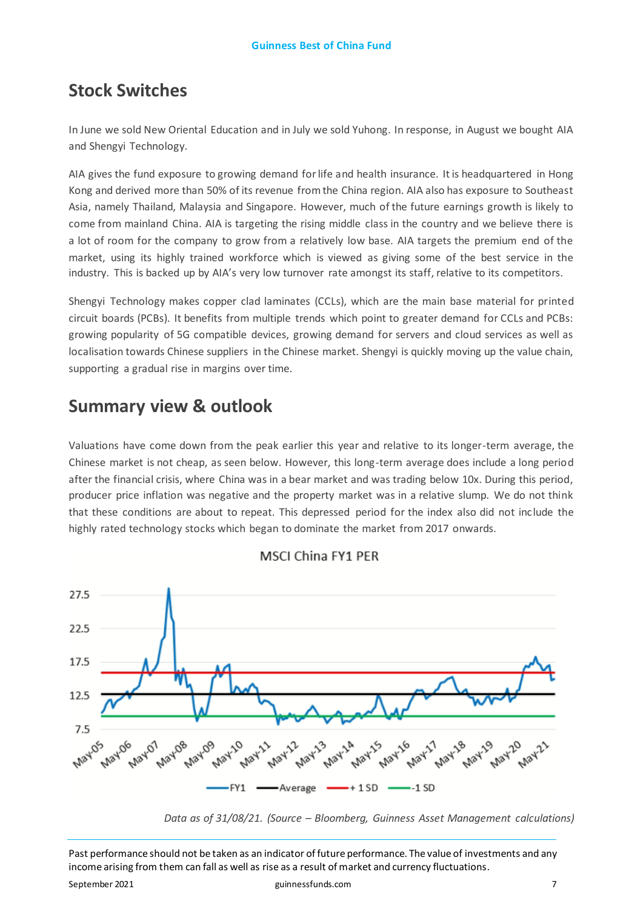# **Stock Switches**

In June we sold New Oriental Education and in July we sold Yuhong. In response, in August we bought AIA and Shengyi Technology.

AIA gives the fund exposure to growing demand for life and health insurance. It is headquartered in Hong Kong and derived more than 50% of its revenue from the China region. AIA also has exposure to Southeast Asia, namely Thailand, Malaysia and Singapore. However, much of the future earnings growth is likely to come from mainland China. AIA is targeting the rising middle class in the country and we believe there is a lot of room for the company to grow from a relatively low base. AIA targets the premium end of the market, using its highly trained workforce which is viewed as giving some of the best service in the industry. This is backed up by AIA's very low turnover rate amongst its staff, relative to its competitors.

Shengyi Technology makes copper clad laminates (CCLs), which are the main base material for printed circuit boards (PCBs). It benefits from multiple trends which point to greater demand for CCLs and PCBs: growing popularity of 5G compatible devices, growing demand for servers and cloud services as well as localisation towards Chinese suppliers in the Chinese market. Shengyi is quickly moving up the value chain, supporting a gradual rise in margins over time.

# **Summary view & outlook**

Valuations have come down from the peak earlier this year and relative to its longer-term average, the Chinese market is not cheap, as seen below. However, this long-term average does include a long period after the financial crisis, where China was in a bear market and was trading below 10x. During this period, producer price inflation was negative and the property market was in a relative slump. We do not think that these conditions are about to repeat. This depressed period for the index also did not include the highly rated technology stocks which began to dominate the market from 2017 onwards.



# MSCI China FY1 PER

*Data as of 31/08/21. (Source – Bloomberg, Guinness Asset Management calculations)*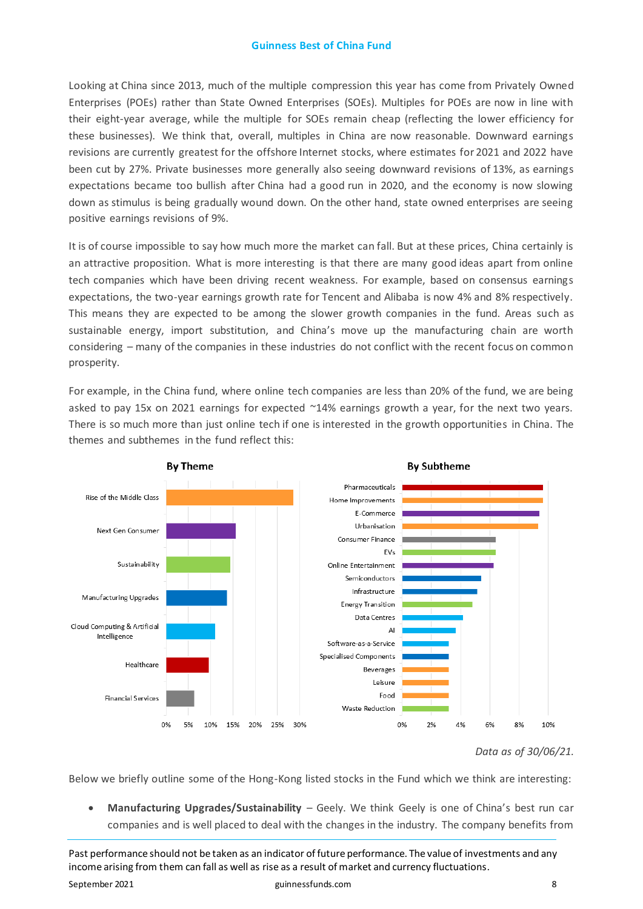# **Guinness Best of China Fund**

Looking at China since 2013, much of the multiple compression this year has come from Privately Owned Enterprises (POEs) rather than State Owned Enterprises (SOEs). Multiples for POEs are now in line with their eight-year average, while the multiple for SOEs remain cheap (reflecting the lower efficiency for these businesses). We think that, overall, multiples in China are now reasonable. Downward earnings revisions are currently greatest for the offshore Internet stocks, where estimates for 2021 and 2022 have been cut by 27%. Private businesses more generally also seeing downward revisions of 13%, as earnings expectations became too bullish after China had a good run in 2020, and the economy is now slowing down as stimulus is being gradually wound down. On the other hand, state owned enterprises are seeing positive earnings revisions of 9%.

It is of course impossible to say how much more the market can fall. But at these prices, China certainly is an attractive proposition. What is more interesting is that there are many good ideas apart from online tech companies which have been driving recent weakness. For example, based on consensus earnings expectations, the two-year earnings growth rate for Tencent and Alibaba is now 4% and 8% respectively. This means they are expected to be among the slower growth companies in the fund. Areas such as sustainable energy, import substitution, and China's move up the manufacturing chain are worth considering – many of the companies in these industries do not conflict with the recent focus on common prosperity.

For example, in the China fund, where online tech companies are less than 20% of the fund, we are being asked to pay 15x on 2021 earnings for expected ~14% earnings growth a year, for the next two years. There is so much more than just online tech if one is interested in the growth opportunities in China. The themes and subthemes in the fund reflect this:



*Data as of 30/06/21.*

Below we briefly outline some of the Hong-Kong listed stocks in the Fund which we think are interesting:

• **Manufacturing Upgrades/Sustainability** – Geely. We think Geely is one of China's best run car companies and is well placed to deal with the changes in the industry. The company benefits from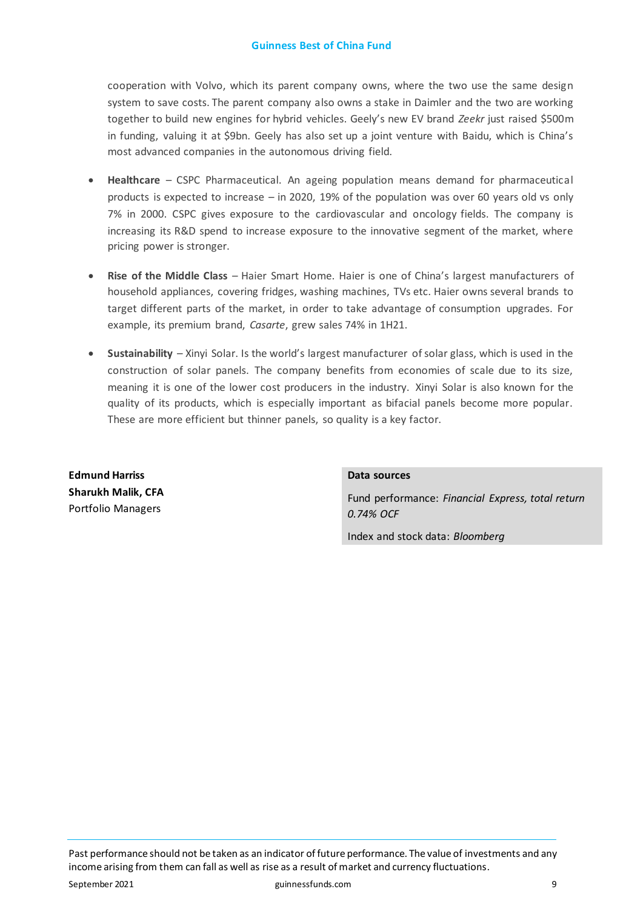cooperation with Volvo, which its parent company owns, where the two use the same design system to save costs. The parent company also owns a stake in Daimler and the two are working together to build new engines for hybrid vehicles. Geely's new EV brand *Zeekr* just raised \$500m in funding, valuing it at \$9bn. Geely has also set up a joint venture with Baidu, which is China's most advanced companies in the autonomous driving field.

- **Healthcare** CSPC Pharmaceutical. An ageing population means demand for pharmaceutical products is expected to increase – in 2020, 19% of the population was over 60 years old vs only 7% in 2000. CSPC gives exposure to the cardiovascular and oncology fields. The company is increasing its R&D spend to increase exposure to the innovative segment of the market, where pricing power is stronger.
- **Rise of the Middle Class** Haier Smart Home. Haier is one of China's largest manufacturers of household appliances, covering fridges, washing machines, TVs etc. Haier owns several brands to target different parts of the market, in order to take advantage of consumption upgrades. For example, its premium brand, *Casarte*, grew sales 74% in 1H21.
- **Sustainability** Xinyi Solar. Is the world's largest manufacturer of solar glass, which is used in the construction of solar panels. The company benefits from economies of scale due to its size, meaning it is one of the lower cost producers in the industry. Xinyi Solar is also known for the quality of its products, which is especially important as bifacial panels become more popular. These are more efficient but thinner panels, so quality is a key factor.

**Edmund Harriss Sharukh Malik, CFA**  Portfolio Managers

# **Data sources**

Fund performance: *Financial Express, total return 0.74% OCF*

Index and stock data: *Bloomberg*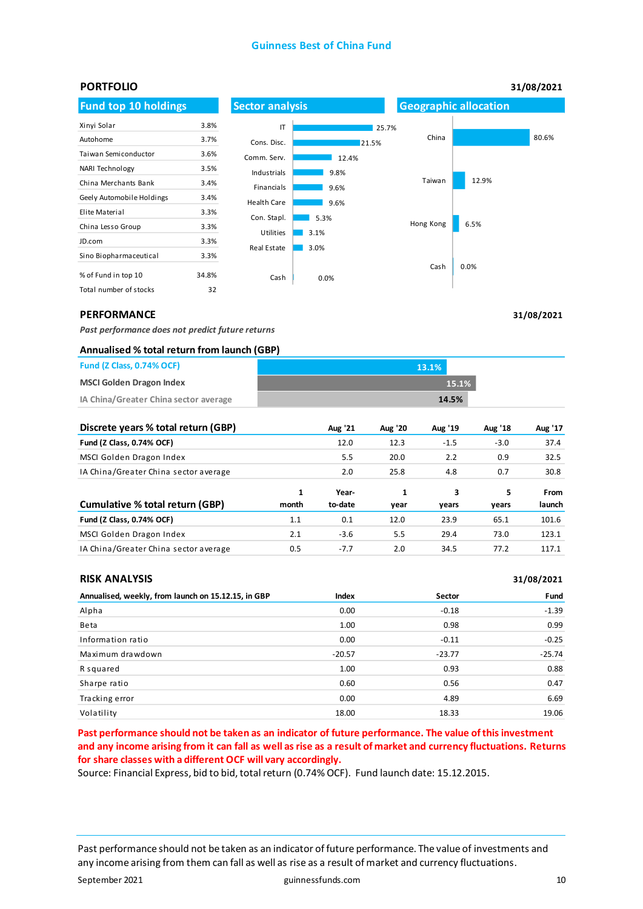# **Guinness Best of China Fund**



**31/08/2021**

# **PERFORMANCE**

*Past performance does not predict future returns* 

### **Annualised % total return from launch (GBP)**

| <b>Fund (Z Class, 0.74% OCF)</b>      | 13.1% |
|---------------------------------------|-------|
| <b>MSCI Golden Dragon Index</b>       | 15.1% |
| IA China/Greater China sector average | 14.5% |

| Discrete years % total return (GBP)   |            | Aug '21          | <b>Aug '20</b> | Aug '19    | Aug '18    | Aug '17        |
|---------------------------------------|------------|------------------|----------------|------------|------------|----------------|
| Fund (Z Class, 0.74% OCF)             |            | 12.0             | 12.3           | $-1.5$     | $-3.0$     | 37.4           |
| MSCI Golden Dragon Index              |            | 5.5              | 20.0           | 2.2        | 0.9        | 32.5           |
| IA China/Greater China sector average |            | 2.0              | 25.8           | 4.8        | 0.7        | 30.8           |
| Cumulative % total return (GBP)       | 1<br>month | Year-<br>to-date | 1<br>year      | 3<br>vears | 5<br>years | From<br>launch |
| Fund (Z Class, 0.74% OCF)             | 1.1        | 0.1              | 12.0           | 23.9       | 65.1       | 101.6          |
| MSCI Golden Dragon Index              | 2.1        | $-3.6$           | 5.5            | 29.4       | 73.0       | 123.1          |
| IA China/Greater China sector average | 0.5        | $-7.7$           | 2.0            | 34.5       | 77.2       | 117.1          |

### **RISK ANALYSIS**

| <b>RISK ANALYSIS</b>                                |          |          | 31/08/2021 |
|-----------------------------------------------------|----------|----------|------------|
| Annualised, weekly, from launch on 15.12.15, in GBP | Index    | Sector   | Fund       |
| Alpha                                               | 0.00     | $-0.18$  | $-1.39$    |
| Beta                                                | 1.00     | 0.98     | 0.99       |
| Information ratio                                   | 0.00     | $-0.11$  | $-0.25$    |
| Maximum drawdown                                    | $-20.57$ | $-23.77$ | $-25.74$   |
| R squared                                           | 1.00     | 0.93     | 0.88       |
| Sharpe ratio                                        | 0.60     | 0.56     | 0.47       |
| Tracking error                                      | 0.00     | 4.89     | 6.69       |
| Volatility                                          | 18.00    | 18.33    | 19.06      |

**Past performance should not be taken as an indicator of future performance. The value of this investment and any income arising from it can fall as well as rise as a result of market and currency fluctuations. Returns for share classes with a different OCF will vary accordingly.** 

Source: Financial Express, bid to bid, total return (0.74% OCF). Fund launch date: 15.12.2015.